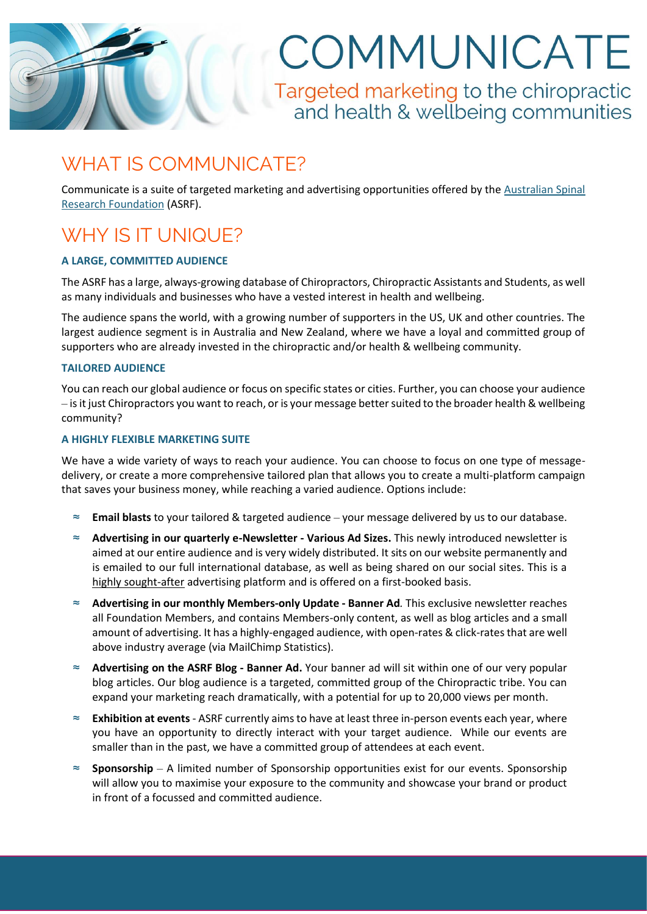COMMUNICATE

Targeted marketing to the chiropractic and health & wellbeing communities

### WHAT IS COMMUNICATE?

Communicate is a suite of targeted marketing and advertising opportunities offered by the [Australian Spinal](https://spinalresearch.com.au/)  [Research Foundation](https://spinalresearch.com.au/) (ASRF).

## WHY IS IT UNIQUE?

#### **A LARGE, COMMITTED AUDIENCE**

The ASRF has a large, always-growing database of Chiropractors, Chiropractic Assistants and Students, as well as many individuals and businesses who have a vested interest in health and wellbeing.

The audience spans the world, with a growing number of supporters in the US, UK and other countries. The largest audience segment is in Australia and New Zealand, where we have a loyal and committed group of supporters who are already invested in the chiropractic and/or health & wellbeing community.

#### **TAILORED AUDIENCE**

You can reach our global audience or focus on specific states or cities. Further, you can choose your audience – is it just Chiropractors you want to reach, or is your message better suited to the broader health & wellbeing community?

#### **A HIGHLY FLEXIBLE MARKETING SUITE**

We have a wide variety of ways to reach your audience. You can choose to focus on one type of messagedelivery, or create a more comprehensive tailored plan that allows you to create a multi-platform campaign that saves your business money, while reaching a varied audience. Options include:

- ≈ **Email blasts** to your tailored & targeted audience your message delivered by us to our database.
- ≈ **Advertising in our quarterly e-Newsletter - Various Ad Sizes.** This newly introduced newsletter is aimed at our entire audience and is very widely distributed. It sits on our website permanently and is emailed to our full international database, as well as being shared on our social sites. This is a highly sought-after advertising platform and is offered on a first-booked basis.
- ≈ **Advertising in our monthly Members-only Update - Banner Ad***.* This exclusive newsletter reaches all Foundation Members, and contains Members-only content, as well as blog articles and a small amount of advertising. It has a highly-engaged audience, with open-rates & click-rates that are well above industry average (via MailChimp Statistics).
- ≈ **Advertising on the ASRF Blog - Banner Ad.** Your banner ad will sit within one of our very popular blog articles. Our blog audience is a targeted, committed group of the Chiropractic tribe. You can expand your marketing reach dramatically, with a potential for up to 20,000 views per month.
- ≈ **Exhibition at events**  ASRF currently aims to have at least three in-person events each year, where you have an opportunity to directly interact with your target audience. While our events are smaller than in the past, we have a committed group of attendees at each event.
- ≈ **Sponsorship** A limited number of Sponsorship opportunities exist for our events. Sponsorship will allow you to maximise your exposure to the community and showcase your brand or product in front of a focussed and committed audience.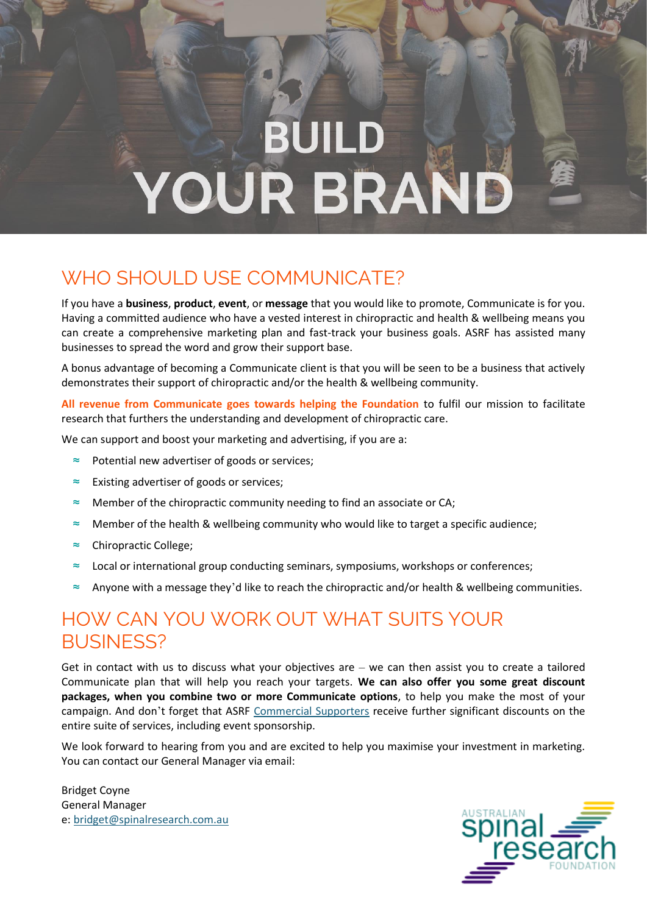# **BUILD** YOUR BRAND

### WHO SHOULD USE COMMUNICATE?

If you have a **business**, **product**, **event**, or **message** that you would like to promote, Communicate is for you. Having a committed audience who have a vested interest in chiropractic and health & wellbeing means you can create a comprehensive marketing plan and fast-track your business goals. ASRF has assisted many businesses to spread the word and grow their support base.

A bonus advantage of becoming a Communicate client is that you will be seen to be a business that actively demonstrates their support of chiropractic and/or the health & wellbeing community.

**All revenue from Communicate goes towards helping the Foundation** to fulfil our mission to facilitate research that furthers the understanding and development of chiropractic care.

We can support and boost your marketing and advertising, if you are a:

- ≈ Potential new advertiser of goods or services;
- ≈ Existing advertiser of goods or services;
- Member of the chiropractic community needing to find an associate or CA;
- ≈ Member of the health & wellbeing community who would like to target a specific audience;
- ≈ Chiropractic College;
- ≈ Local or international group conducting seminars, symposiums, workshops or conferences;
- Anyone with a message they'd like to reach the chiropractic and/or health & wellbeing communities.

### HOW CAN YOU WORK OUT WHAT SUITS YOUR BUSINESS?

Get in contact with us to discuss what your objectives are – we can then assist you to create a tailored Communicate plan that will help you reach your targets. **We can also offer you some great discount packages, when you combine two or more Communicate options**, to help you make the most of your campaign. And don't forget that ASRF [Commercial Supporters](https://spinalresearch.com.au/get-involved/commercial-supporter-initiative/) receive further significant discounts on the entire suite of services, including event sponsorship.

We look forward to hearing from you and are excited to help you maximise your investment in marketing. You can contact our General Manager via email:

Bridget Coyne General Manager e[: bridget@spinalresearch.com.au](mailto:bridget@spinalresearch.com.au) 

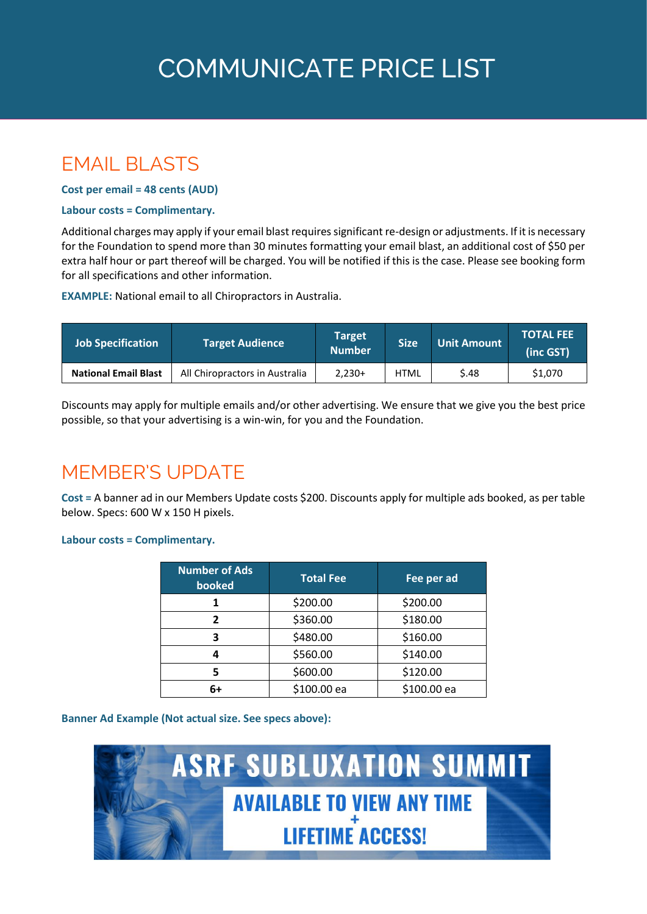# **COMMUNICATE PRICE LIST**

### **FMAIL BLASTS**

**Cost per email = 48 cents (AUD)**

#### **Labour costs = Complimentary.**

Additional charges may apply if your email blast requires significant re-design or adjustments. If it is necessary for the Foundation to spend more than 30 minutes formatting your email blast, an additional cost of \$50 per extra half hour or part thereof will be charged. You will be notified if this is the case. Please see booking form for all specifications and other information.

**EXAMPLE:** National email to all Chiropractors in Australia.

| <b>Job Specification</b>    | Target Audience                | Target<br><b>Number</b> | <b>Size</b> | <b>Unit Amount</b> | <b>TOTAL FEE</b><br>(inc GST) |
|-----------------------------|--------------------------------|-------------------------|-------------|--------------------|-------------------------------|
| <b>National Email Blast</b> | All Chiropractors in Australia | $2.230+$                | <b>HTML</b> | S.48               | \$1,070                       |

Discounts may apply for multiple emails and/or other advertising. We ensure that we give you the best price possible, so that your advertising is a win-win, for you and the Foundation.

### MEMBER'S UPDATE

**Cost =** A banner ad in our Members Update costs \$200. Discounts apply for multiple ads booked, as per table below. Specs: 600 W x 150 H pixels.

#### **Labour costs = Complimentary.**

| <b>Number of Ads</b><br>booked | <b>Total Fee</b> | Fee per ad  |
|--------------------------------|------------------|-------------|
|                                | \$200.00         | \$200.00    |
| ר                              | \$360.00         | \$180.00    |
| ₹                              | \$480.00         | \$160.00    |
|                                | \$560.00         | \$140.00    |
|                                | \$600.00         | \$120.00    |
| 6+                             | \$100.00 ea      | \$100.00 ea |

#### **Banner Ad Example (Not actual size. See specs above):**

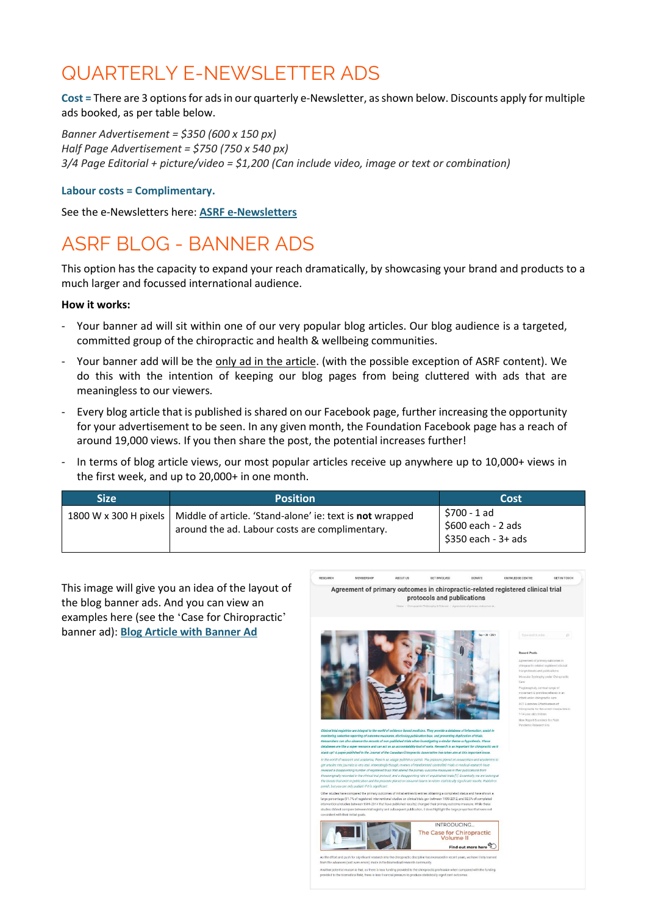### QUARTERLY E-NEWSLETTER ADS

**Cost =** There are 3 options for ads in our quarterly e-Newsletter, as shown below. Discounts apply for multiple ads booked, as per table below.

*Banner Advertisement = \$350 (600 x 150 px) Half Page Advertisement = \$750 (750 x 540 px) 3/4 Page Editorial + picture/video = \$1,200 (Can include video, image or text or combination)*

#### **Labour costs = Complimentary.**

See the e-Newsletters here: **[ASRF e-Newsletters](https://spinalresearch.com.au/newsletter/)**

### ASRF BLOG - BANNER ADS

This option has the capacity to expand your reach dramatically, by showcasing your brand and products to a much larger and focussed international audience.

#### **How it works:**

- Your banner ad will sit within one of our very popular blog articles. Our blog audience is a targeted, committed group of the chiropractic and health & wellbeing communities.
- Your banner add will be the only ad in the article. (with the possible exception of ASRF content). We do this with the intention of keeping our blog pages from being cluttered with ads that are meaningless to our viewers.
- Every blog article that is published is shared on our Facebook page, further increasing the opportunity for your advertisement to be seen. In any given month, the Foundation Facebook page has a reach of around 19,000 views. If you then share the post, the potential increases further!
- In terms of blog article views, our most popular articles receive up anywhere up to 10,000+ views in the first week, and up to 20,000+ in one month.

| <b>Size</b> | <b>Position</b>                                                                                                                    | Cost                                                      |
|-------------|------------------------------------------------------------------------------------------------------------------------------------|-----------------------------------------------------------|
|             | 1800 W x 300 H pixels   Middle of article. 'Stand-alone' ie: text is not wrapped<br>around the ad. Labour costs are complimentary. | \$700 - 1 ad<br>\$600 each - 2 ads<br>\$350 each - 3+ ads |

This image will give you an idea of the layout of the blog banner ads. And you can view an examples here (see the 'Case for Chiropractic' banner ad): **[Blog Article with Banner Ad](https://spinalresearch.com.au/agreement-of-primary-outcomes-in-chiropractic-related-registered-clinical-trial-protocols-and-publications/)**